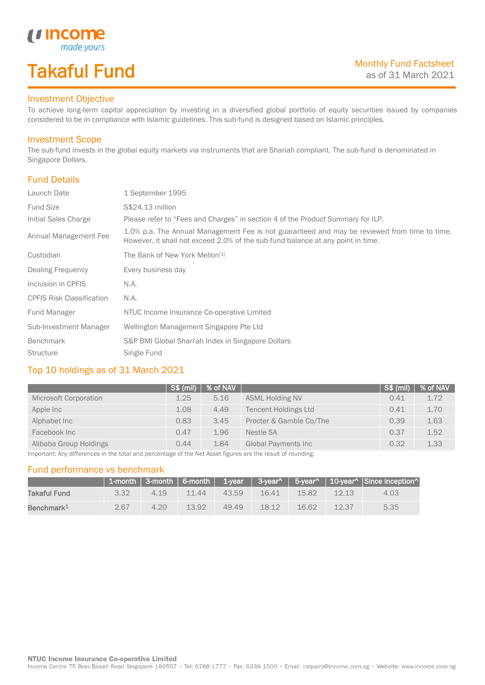# Takaful Fund

### Investment Objective

*<u>Income</u>*<br>made yours

To achieve long-term capital appreciation by investing in a diversified global portfolio of equity securities issued by companies considered to be in compliance with Islamic guidelines. This sub-fund is designed based on Islamic principles.

#### Investment Scope

The sub-fund invests in the global equity markets via instruments that are Shariah compliant. The sub-fund is denominated in Singapore Dollars.

## Fund Details

I

| Launch Date                      | 1 September 1995                                                                                                                                                                |
|----------------------------------|---------------------------------------------------------------------------------------------------------------------------------------------------------------------------------|
| <b>Fund Size</b>                 | S\$24.13 million                                                                                                                                                                |
| Initial Sales Charge             | Please refer to "Fees and Charges" in section 4 of the Product Summary for ILP.                                                                                                 |
| Annual Management Fee            | 1.0% p.a. The Annual Management Fee is not guaranteed and may be reviewed from time to time.<br>However, it shall not exceed 2.0% of the sub-fund balance at any point in time. |
| Custodian                        | The Bank of New York Mellon <sup>[1]</sup>                                                                                                                                      |
| Dealing Frequency                | Every business day                                                                                                                                                              |
| Inclusion in CPFIS               | N.A.                                                                                                                                                                            |
| <b>CPFIS Risk Classification</b> | N.A.                                                                                                                                                                            |
| Fund Manager                     | NTUC Income Insurance Co-operative Limited                                                                                                                                      |
| Sub-Investment Manager           | Wellington Management Singapore Pte Ltd                                                                                                                                         |
| <b>Benchmark</b>                 | S&P BMI Global Shari'ah Index in Singapore Dollars                                                                                                                              |
| <b>Structure</b>                 | Single Fund                                                                                                                                                                     |

# Top 10 holdings as of 31 March 2021

|                                                                                                                | $S$ \$ (mil) | % of NAV <sub>2</sub> |                             | S\$ (mil) | % of NAV |
|----------------------------------------------------------------------------------------------------------------|--------------|-----------------------|-----------------------------|-----------|----------|
| Microsoft Corporation                                                                                          | 1.25         | 5.16                  | <b>ASML Holding NV</b>      | 0.41      | 1.72     |
| Apple Inc                                                                                                      | 1.08         | 4.49                  | <b>Tencent Holdings Ltd</b> | 0.41      | 1.70     |
| Alphabet Inc                                                                                                   | 0.83         | 3.45                  | Procter & Gamble Co/The     | 0.39      | 1.63     |
| Facebook Inc                                                                                                   | 0.47         | 1.96                  | Nestle SA                   | 0.37      | 1.52     |
| Alibaba Group Holdings                                                                                         | 0.44         | 1.84                  | <b>Global Payments Inc</b>  | 0.32      | 1.33     |
| Incorported: Apu differences in the total and parameters of the Not Agent firewas are the result of revolution |              |                       |                             |           |          |

Important: Any differences in the total and percentage of the Net Asset figures are the result of rounding.

#### Fund performance vs benchmark

|                        |      |       |       |       |       |          |       | 1-month 3-month 6-month 1-year 3-year^ 5-year^ 10-year^ Since inception^ |
|------------------------|------|-------|-------|-------|-------|----------|-------|--------------------------------------------------------------------------|
| Takaful Fund           | 3.32 | 4 1 9 | 11.44 | 43.59 | 16.41 | 15.82    | 12.13 | 4.03                                                                     |
| Benchmark <sup>1</sup> | 2.67 | 420   | 13.92 | 4949  | 18.12 | $-16.62$ | 12.37 | 5.35                                                                     |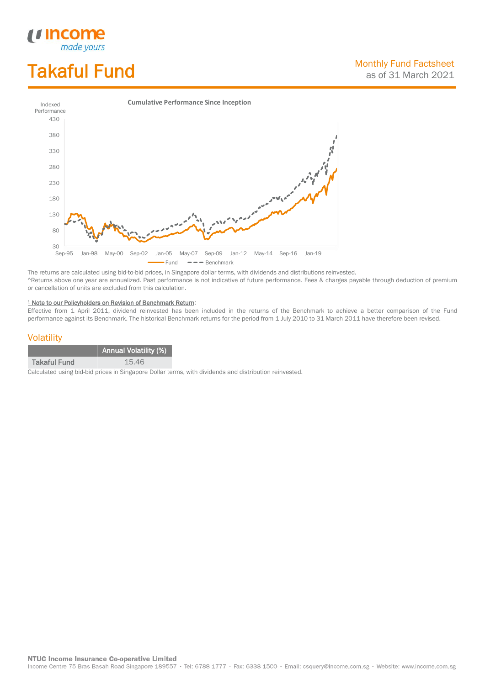# Takaful Fund

*<u>Income</u>*<br>made yours

I



The returns are calculated using bid-to-bid prices, in Singapore dollar terms, with dividends and distributions reinvested. ^Returns above one year are annualized. Past performance is not indicative of future performance. Fees & charges payable through deduction of premium or cancellation of units are excluded from this calculation.

#### <sup>1</sup> Note to our Policyholders on Revision of Benchmark Return:

Effective from 1 April 2011, dividend reinvested has been included in the returns of the Benchmark to achieve a better comparison of the Fund performance against its Benchmark. The historical Benchmark returns for the period from 1 July 2010 to 31 March 2011 have therefore been revised.

### **Volatility**

|                     | Annual Volatility (%) |
|---------------------|-----------------------|
| <b>Takaful Fund</b> | 15.46                 |

Calculated using bid-bid prices in Singapore Dollar terms, with dividends and distribution reinvested.

**NTUC Income Insurance Co-operative Limited** 

Income Centre 75 Bras Basah Road Singapore 189557 · Tel: 6788 1777 · Fax: 6338 1500 · Email: csquery@income.com.sg · Website: www.income.com.sg